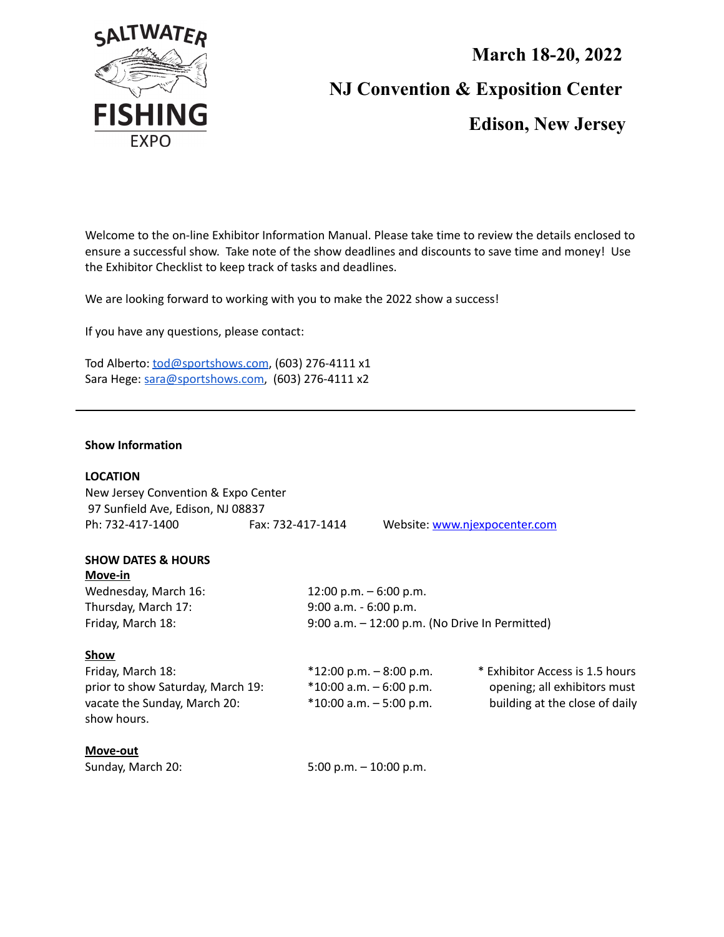

## **March 18-20, 2022 NJ Convention & Exposition Center**

**Edison, New Jersey**

Welcome to the on-line Exhibitor Information Manual. Please take time to review the details enclosed to ensure a successful show. Take note of the show deadlines and discounts to save time and money! Use the Exhibitor Checklist to keep track of tasks and deadlines.

We are looking forward to working with you to make the 2022 show a success!

If you have any questions, please contact:

Tod Alberto: [tod@sportshows.com](mailto:tod@sportshows.com), (603) 276-4111 x1 Sara Hege: [sara@sportshows.com,](mailto:sara@sportshows.com) (603) 276-4111 x2

### **Show Information**

| <b>LOCATION</b><br>New Jersey Convention & Expo Center<br>97 Sunfield Ave, Edison, NJ 08837<br>Ph: 732-417-1400                                | Fax: 732-417-1414                                                                                                   | Website: www.njexpocenter.com                     |                                                                                                   |
|------------------------------------------------------------------------------------------------------------------------------------------------|---------------------------------------------------------------------------------------------------------------------|---------------------------------------------------|---------------------------------------------------------------------------------------------------|
| <b>SHOW DATES &amp; HOURS</b><br>Move-in<br>Wednesday, March 16:<br>Thursday, March 17:<br>Friday, March 18:                                   | $12:00$ p.m. $-6:00$ p.m.<br>$9:00$ a.m. - 6:00 p.m.                                                                | $9:00$ a.m. $-12:00$ p.m. (No Drive In Permitted) |                                                                                                   |
| Show<br>Friday, March 18:<br>prior to show Saturday, March 19:<br>vacate the Sunday, March 20:<br>show hours.<br>Move-out<br>Sunday, March 20: | $*12:00$ p.m. $-8:00$ p.m.<br>$*10:00$ a.m. $-6:00$ p.m.<br>$*10:00$ a.m. $-5:00$ p.m.<br>$5:00$ p.m. $-10:00$ p.m. |                                                   | * Exhibitor Access is 1.5 hours<br>opening; all exhibitors must<br>building at the close of daily |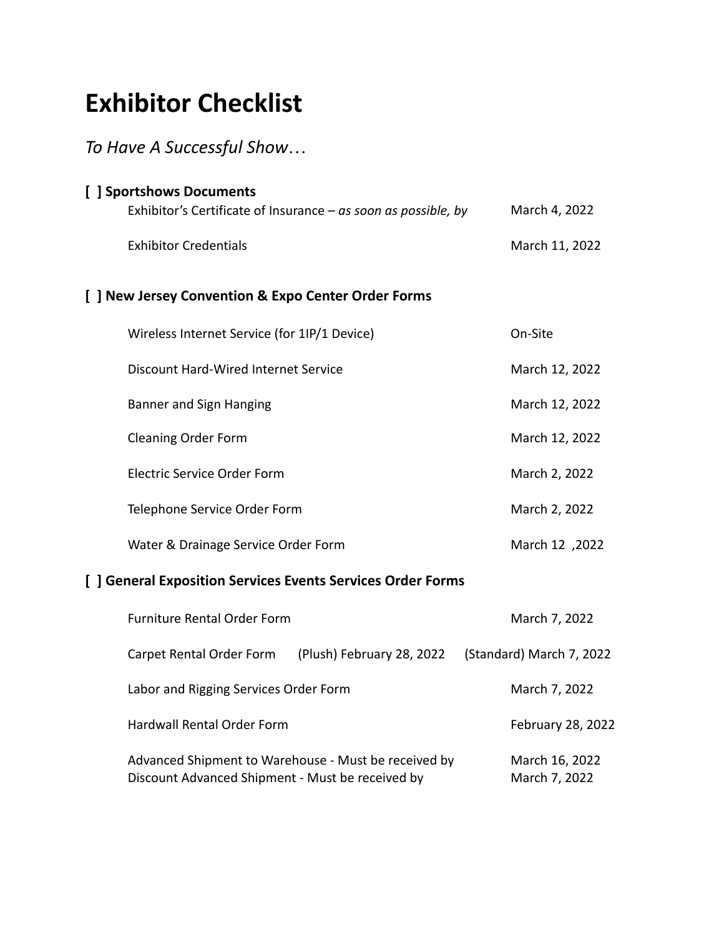# **Exhibitor Checklist**

### *To Have A Successful Show…*

| [ ] Sportshows Documents                                       |                |
|----------------------------------------------------------------|----------------|
| Exhibitor's Certificate of Insurance – as soon as possible, by | March 4, 2022  |
| <b>Exhibitor Credentials</b>                                   | March 11, 2022 |
| [ ] New Jersey Convention & Expo Center Order Forms            |                |
| Wireless Internet Service (for 1IP/1 Device)                   | On-Site        |
| <b>Discount Hard-Wired Internet Service</b>                    | March 12, 2022 |
| <b>Banner and Sign Hanging</b>                                 | March 12, 2022 |
| <b>Cleaning Order Form</b>                                     | March 12, 2022 |
| Electric Service Order Form                                    | March 2, 2022  |
| Telephone Service Order Form                                   | March 2, 2022  |
| Water & Drainage Service Order Form                            | March 12, 2022 |

### **[ ] General Exposition Services Events Services Order Forms**

| <b>Furniture Rental Order Form</b>                                                                       | March 7, 2022                   |                          |
|----------------------------------------------------------------------------------------------------------|---------------------------------|--------------------------|
| Carpet Rental Order Form                                                                                 | (Plush) February 28, 2022       | (Standard) March 7, 2022 |
| Labor and Rigging Services Order Form                                                                    |                                 | March 7, 2022            |
| <b>Hardwall Rental Order Form</b>                                                                        | February 28, 2022               |                          |
| Advanced Shipment to Warehouse - Must be received by<br>Discount Advanced Shipment - Must be received by | March 16, 2022<br>March 7, 2022 |                          |